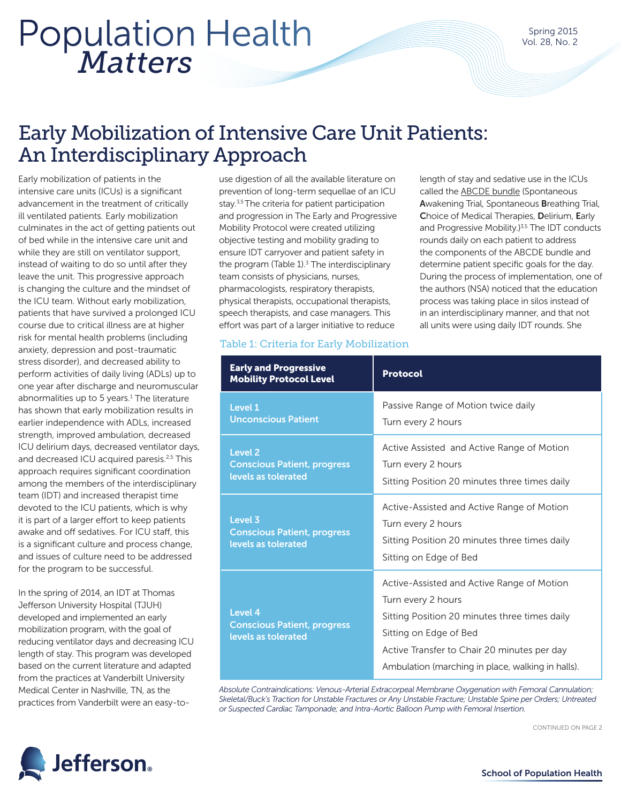# *Matters* Population Health

length of stay and sedative use in the ICUs called the ABCDE bundle (Spontaneous Awakening Trial, Spontaneous Breathing Trial, Choice of Medical Therapies, Delirium, Early and Progressive Mobility.)<sup>3,5</sup> The IDT conducts rounds daily on each patient to address the components of the ABCDE bundle and determine patient specific goals for the day. During the process of implementation, one of the authors (NSA) noticed that the education process was taking place in silos instead of in an interdisciplinary manner, and that not all units were using daily IDT rounds. She

### Early Mobilization of Intensive Care Unit Patients: An Interdisciplinary Approach

Early mobilization of patients in the intensive care units (ICUs) is a significant advancement in the treatment of critically ill ventilated patients. Early mobilization culminates in the act of getting patients out of bed while in the intensive care unit and while they are still on ventilator support, instead of waiting to do so until after they leave the unit. This progressive approach is changing the culture and the mindset of the ICU team. Without early mobilization, patients that have survived a prolonged ICU course due to critical illness are at higher risk for mental health problems (including anxiety, depression and post-traumatic stress disorder), and decreased ability to perform activities of daily living (ADLs) up to one year after discharge and neuromuscular abnormalities up to 5 years.<sup>1</sup> The literature has shown that early mobilization results in earlier independence with ADLs, increased strength, improved ambulation, decreased ICU delirium days, decreased ventilator days, and decreased ICU acquired paresis.<sup>2,5</sup> This approach requires significant coordination among the members of the interdisciplinary team (IDT) and increased therapist time devoted to the ICU patients, which is why it is part of a larger effort to keep patients awake and off sedatives. For ICU staff, this is a significant culture and process change, and issues of culture need to be addressed for the program to be successful.

In the spring of 2014, an IDT at Thomas Jefferson University Hospital (TJUH) developed and implemented an early mobilization program, with the goal of reducing ventilator days and decreasing ICU length of stay. This program was developed based on the current literature and adapted from the practices at Vanderbilt University Medical Center in Nashville, TN, as the practices from Vanderbilt were an easy-to-

use digestion of all the available literature on prevention of long-term sequellae of an ICU stay.<sup>3,5</sup> The criteria for patient participation and progression in The Early and Progressive Mobility Protocol were created utilizing objective testing and mobility grading to ensure IDT carryover and patient safety in the program (Table  $1$ ).<sup>3</sup> The interdisciplinary team consists of physicians, nurses, pharmacologists, respiratory therapists, physical therapists, occupational therapists, speech therapists, and case managers. This effort was part of a larger initiative to reduce

#### Table 1: Criteria for Early Mobilization

| <b>Early and Progressive</b><br><b>Mobility Protocol Level</b>              | <b>Protocol</b>                                                                                                                                                                                                                                 |
|-----------------------------------------------------------------------------|-------------------------------------------------------------------------------------------------------------------------------------------------------------------------------------------------------------------------------------------------|
| Level 1<br><b>Unconscious Patient</b>                                       | Passive Range of Motion twice daily<br>Turn every 2 hours                                                                                                                                                                                       |
| <b>Level 2</b><br><b>Conscious Patient, progress</b><br>levels as tolerated | Active Assisted and Active Range of Motion<br>Turn every 2 hours<br>Sitting Position 20 minutes three times daily                                                                                                                               |
| Level 3<br><b>Conscious Patient, progress</b><br>levels as tolerated        | Active-Assisted and Active Range of Motion<br>Turn every 2 hours<br>Sitting Position 20 minutes three times daily<br>Sitting on Edge of Bed                                                                                                     |
| Level 4<br><b>Conscious Patient, progress</b><br>levels as tolerated        | Active-Assisted and Active Range of Motion<br>Turn every 2 hours<br>Sitting Position 20 minutes three times daily<br>Sitting on Edge of Bed<br>Active Transfer to Chair 20 minutes per day<br>Ambulation (marching in place, walking in halls). |

*Absolute Contraindications: Venous-Arterial Extracorpeal Membrane Oxygenation with Femoral Cannulation; Skeletal/Buck's Traction for Unstable Fractures or Any Unstable Fracture; Unstable Spine per Orders; Untreated or Suspected Cardiac Tamponade; and Intra-Aortic Balloon Pump with Femoral Insertion.*



CONTINUED ON PAGE 2

School of Population Health